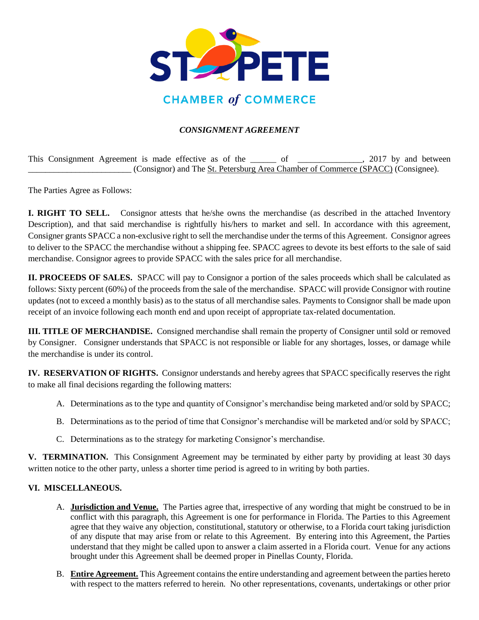

## *CONSIGNMENT AGREEMENT*

This Consignment Agreement is made effective as of the \_\_\_\_\_\_ of \_\_\_\_\_\_\_\_\_\_\_\_\_, 2017 by and between \_\_\_\_\_\_\_\_\_\_\_\_\_\_\_\_\_\_\_\_\_\_\_\_ (Consignor) and The St. Petersburg Area Chamber of Commerce (SPACC) (Consignee).

The Parties Agree as Follows:

**I. RIGHT TO SELL.** Consignor attests that he/she owns the merchandise (as described in the attached Inventory Description), and that said merchandise is rightfully his/hers to market and sell. In accordance with this agreement, Consigner grants SPACC a non-exclusive right to sell the merchandise under the terms of this Agreement. Consignor agrees to deliver to the SPACC the merchandise without a shipping fee. SPACC agrees to devote its best efforts to the sale of said merchandise. Consignor agrees to provide SPACC with the sales price for all merchandise.

**II. PROCEEDS OF SALES.** SPACC will pay to Consignor a portion of the sales proceeds which shall be calculated as follows: Sixty percent (60%) of the proceeds from the sale of the merchandise. SPACC will provide Consignor with routine updates (not to exceed a monthly basis) as to the status of all merchandise sales. Payments to Consignor shall be made upon receipt of an invoice following each month end and upon receipt of appropriate tax-related documentation.

**III. TITLE OF MERCHANDISE.** Consigned merchandise shall remain the property of Consigner until sold or removed by Consigner. Consigner understands that SPACC is not responsible or liable for any shortages, losses, or damage while the merchandise is under its control.

**IV. RESERVATION OF RIGHTS.** Consignor understands and hereby agrees that SPACC specifically reserves the right to make all final decisions regarding the following matters:

- A. Determinations as to the type and quantity of Consignor's merchandise being marketed and/or sold by SPACC;
- B. Determinations as to the period of time that Consignor's merchandise will be marketed and/or sold by SPACC;
- C. Determinations as to the strategy for marketing Consignor's merchandise.

**V. TERMINATION.** This Consignment Agreement may be terminated by either party by providing at least 30 days written notice to the other party, unless a shorter time period is agreed to in writing by both parties.

## **VI. MISCELLANEOUS.**

- A. **Jurisdiction and Venue.** The Parties agree that, irrespective of any wording that might be construed to be in conflict with this paragraph, this Agreement is one for performance in Florida. The Parties to this Agreement agree that they waive any objection, constitutional, statutory or otherwise, to a Florida court taking jurisdiction of any dispute that may arise from or relate to this Agreement. By entering into this Agreement, the Parties understand that they might be called upon to answer a claim asserted in a Florida court. Venue for any actions brought under this Agreement shall be deemed proper in Pinellas County, Florida.
- B. **Entire Agreement.** This Agreement contains the entire understanding and agreement between the parties hereto with respect to the matters referred to herein. No other representations, covenants, undertakings or other prior